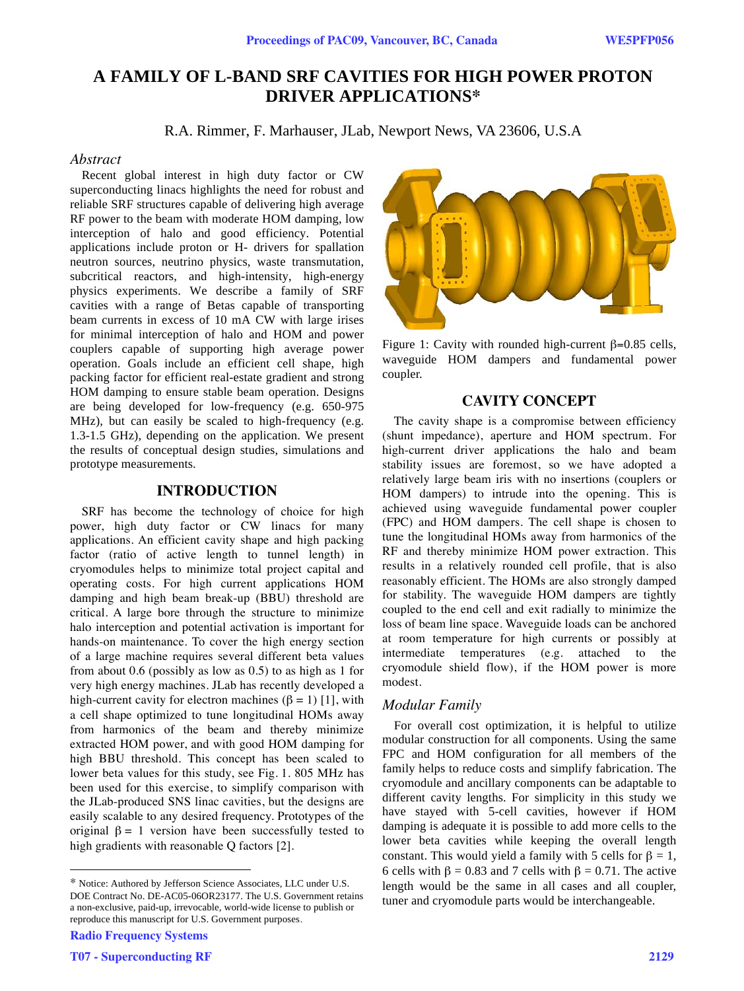# **A FAMILY OF L-BAND SRF CAVITIES FOR HIGH POWER PROTON DRIVER APPLICATIONS\***

R.A. Rimmer, F. Marhauser, JLab, Newport News, VA 23606, U.S.A

#### *Abstract*

Recent global interest in high duty factor or CW superconducting linacs highlights the need for robust and reliable SRF structures capable of delivering high average RF power to the beam with moderate HOM damping, low interception of halo and good efficiency. Potential applications include proton or H- drivers for spallation neutron sources, neutrino physics, waste transmutation, subcritical reactors, and high-intensity, high-energy physics experiments. We describe a family of SRF cavities with a range of Betas capable of transporting beam currents in excess of 10 mA CW with large irises for minimal interception of halo and HOM and power couplers capable of supporting high average power operation. Goals include an efficient cell shape, high packing factor for efficient real-estate gradient and strong HOM damping to ensure stable beam operation. Designs are being developed for low-frequency (e.g. 650-975 MHz), but can easily be scaled to high-frequency (e.g. 1.3-1.5 GHz), depending on the application. We present the results of conceptual design studies, simulations and prototype measurements.

# **INTRODUCTION**

SRF has become the technology of choice for high power, high duty factor or CW linacs for many applications. An efficient cavity shape and high packing factor (ratio of active length to tunnel length) in cryomodules helps to minimize total project capital and operating costs. For high current applications HOM damping and high beam break-up (BBU) threshold are critical. A large bore through the structure to minimize halo interception and potential activation is important for hands-on maintenance. To cover the high energy section of a large machine requires several different beta values from about 0.6 (possibly as low as 0.5) to as high as 1 for very high energy machines. JLab has recently developed a high-current cavity for electron machines ( $\beta = 1$ ) [1], with a cell shape optimized to tune longitudinal HOMs away from harmonics of the beam and thereby minimize extracted HOM power, and with good HOM damping for high BBU threshold. This concept has been scaled to lower beta values for this study, see Fig. 1. 805 MHz has been used for this exercise, to simplify comparison with the JLab-produced SNS linac cavities, but the designs are easily scalable to any desired frequency. Prototypes of the original  $\beta = 1$  version have been successfully tested to high gradients with reasonable Q factors [2].

Radio Frequency Systems

l



Figure 1: Cavity with rounded high-current  $\beta$ =0.85 cells, waveguide HOM dampers and fundamental power coupler.

# **CAVITY CONCEPT**

The cavity shape is a compromise between efficiency (shunt impedance), aperture and HOM spectrum. For high-current driver applications the halo and beam stability issues are foremost, so we have adopted a relatively large beam iris with no insertions (couplers or HOM dampers) to intrude into the opening. This is achieved using waveguide fundamental power coupler (FPC) and HOM dampers. The cell shape is chosen to tune the longitudinal HOMs away from harmonics of the RF and thereby minimize HOM power extraction. This results in a relatively rounded cell profile, that is also reasonably efficient. The HOMs are also strongly damped for stability. The waveguide HOM dampers are tightly coupled to the end cell and exit radially to minimize the loss of beam line space. Waveguide loads can be anchored at room temperature for high currents or possibly at intermediate temperatures (e.g. attached to the cryomodule shield flow), if the HOM power is more modest.

#### *Modular Family*

For overall cost optimization, it is helpful to utilize modular construction for all components. Using the same FPC and HOM configuration for all members of the family helps to reduce costs and simplify fabrication. The cryomodule and ancillary components can be adaptable to different cavity lengths. For simplicity in this study we have stayed with 5-cell cavities, however if HOM damping is adequate it is possible to add more cells to the lower beta cavities while keeping the overall length constant. This would yield a family with 5 cells for  $\beta = 1$ , 6 cells with  $\beta = 0.83$  and 7 cells with  $\beta = 0.71$ . The active length would be the same in all cases and all coupler, tuner and cryomodule parts would be interchangeable.

<sup>\*</sup> Notice: Authored by Jefferson Science Associates, LLC under U.S. DOE Contract No. DE-AC05-06OR23177. The U.S. Government retains a non-exclusive, paid-up, irrevocable, world-wide license to publish or reproduce this manuscript for U.S. Government purposes.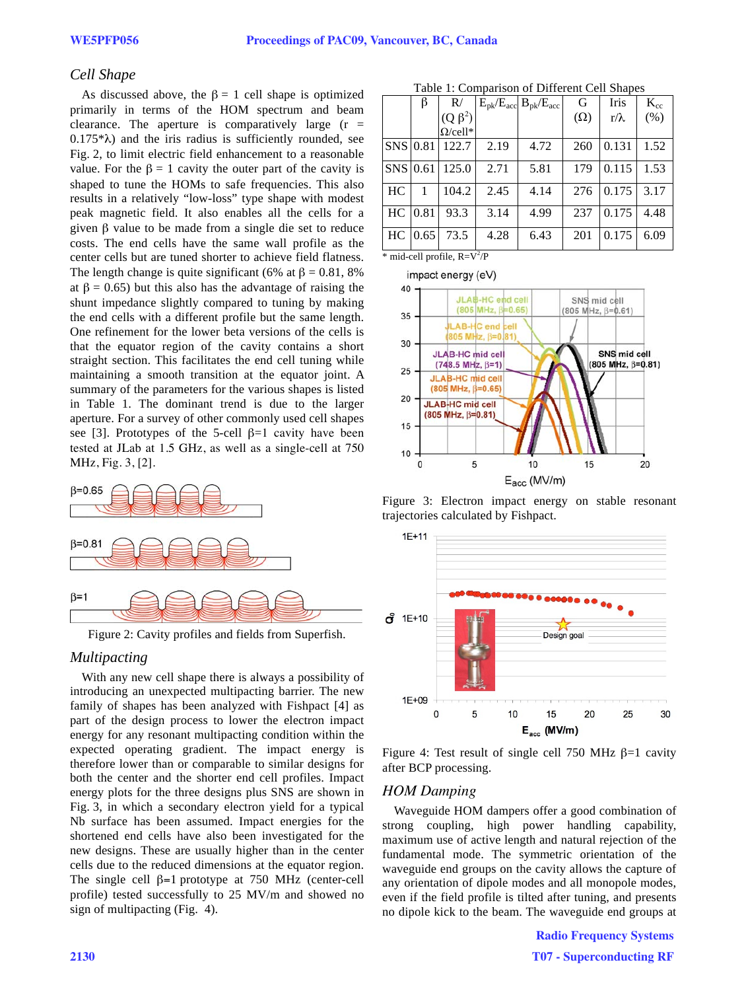# *Cell Shape*

As discussed above, the  $\beta = 1$  cell shape is optimized primarily in terms of the HOM spectrum and beam clearance. The aperture is comparatively large  $(r =$  $0.175*\lambda$ ) and the iris radius is sufficiently rounded, see Fig. 2, to limit electric field enhancement to a reasonable value. For the  $\beta = 1$  cavity the outer part of the cavity is shaped to tune the HOMs to safe frequencies. This also results in a relatively "low-loss" type shape with modest peak magnetic field. It also enables all the cells for a given  $\beta$  value to be made from a single die set to reduce costs. The end cells have the same wall profile as the center cells but are tuned shorter to achieve field flatness. The length change is quite significant (6% at  $\beta = 0.81, 8\%$ ) at  $\beta = 0.65$ ) but this also has the advantage of raising the shunt impedance slightly compared to tuning by making the end cells with a different profile but the same length. One refinement for the lower beta versions of the cells is that the equator region of the cavity contains a short straight section. This facilitates the end cell tuning while maintaining a smooth transition at the equator joint. A summary of the parameters for the various shapes is listed in Table 1. The dominant trend is due to the larger aperture. For a survey of other commonly used cell shapes see [3]. Prototypes of the 5-cell  $\beta=1$  cavity have been tested at JLab at 1.5 GHz, as well as a single-cell at 750 MHz, Fig. 3, [2].



Figure 2: Cavity profiles and fields from Superfish.

#### *Multipacting*

With any new cell shape there is always a possibility of introducing an unexpected multipacting barrier. The new family of shapes has been analyzed with Fishpact [4] as part of the design process to lower the electron impact energy for any resonant multipacting condition within the expected operating gradient. The impact energy is therefore lower than or comparable to similar designs for both the center and the shorter end cell profiles. Impact energy plots for the three designs plus SNS are shown in Fig. 3, in which a secondary electron yield for a typical Nb surface has been assumed. Impact energies for the shortened end cells have also been investigated for the new designs. These are usually higher than in the center cells due to the reduced dimensions at the equator region. The single cell  $\beta$ =1 prototype at 750 MHz (center-cell profile) tested successfully to 25 MV/m and showed no sign of multipacting (Fig. 4).

| Table 1: Comparison of Different Cell Shapes |  |
|----------------------------------------------|--|
|----------------------------------------------|--|

|          | β    | R/              |      | $E_{\rm pk}/E_{\rm acc}$ $B_{\rm pk}/E_{\rm acc}$ | G          | Iris        | $K_{cc}$ |
|----------|------|-----------------|------|---------------------------------------------------|------------|-------------|----------|
|          |      | $(Q \beta^2)$   |      |                                                   | $(\Omega)$ | $r/\lambda$ | (% )     |
|          |      | $\Omega$ /cell* |      |                                                   |            |             |          |
| SNS 0.81 |      | 122.7           | 2.19 | 4.72                                              | 260        | 0.131       | 1.52     |
| SNS 0.61 |      | 125.0           | 2.71 | 5.81                                              | 179        | 0.115       | 1.53     |
| HC       |      | 104.2           | 2.45 | 4.14                                              | 276        | 0.175       | 3.17     |
| HC       | 0.81 | 93.3            | 3.14 | 4.99                                              | 237        | 0.175       | 4.48     |
| HC       | 0.65 | 73.5            | 4.28 | 6.43                                              | 201        | 0.175       | 6.09     |

 $*$  mid-cell profile,  $R = V^2/P$ 

impact energy (eV)



Figure 3: Electron impact energy on stable resonant trajectories calculated by Fishpact.



Figure 4: Test result of single cell 750 MHz  $\beta=1$  cavity after BCP processing.

# *HOM Damping*

Waveguide HOM dampers offer a good combination of strong coupling, high power handling capability, maximum use of active length and natural rejection of the fundamental mode. The symmetric orientation of the waveguide end groups on the cavity allows the capture of any orientation of dipole modes and all monopole modes, even if the field profile is tilted after tuning, and presents no dipole kick to the beam. The waveguide end groups at

> Radio Frequency Systems T07 - Superconducting RF